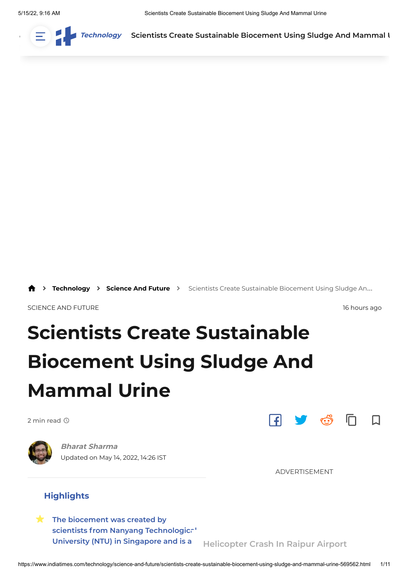

 $\sum_{i=1}^{\infty}$  Tec[hnology](https://www.indiatimes.com/technology) Scientists Cr[eate Susta](https://www.indiatimes.com/explainers)inable Biocement Using Sludge And [Mamma](https://www.indiatimes.com/login)l I



[Technology](https://www.indiatimes.com/technology) > [Science And Future](https://www.indiatimes.com/technology/science-and-future) > Scientists Create Sustainable Biocement Using Sludge An...

[SCIENCE AND FUTURE](https://www.indiatimes.com/technology/science-and-future) 16 hours ago

# **Scientists Create Sustainable Biocement Using Sludge And Mammal Urine**

2 min read  $\oslash$ 



Updated on May 14, 2022, 14:26 IST **[Bharat Sharma](https://www.indiatimes.com/author/bharat-sharma/5144)**



ADVERTISEMENT

#### **Highlights**

**The biocement was created by [scientists from Nanyang Technological](#page-1-0) University (NTU) in Singapore and is a**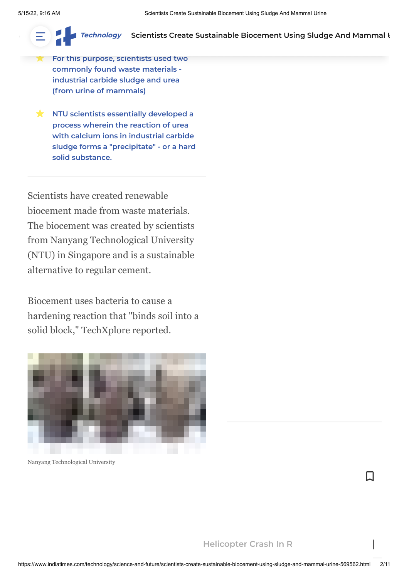**[cement.](https://www.indiatimes.com/worth)**

#### **[Technology](https://www.indiatimes.com/technology)** Scientis[ts Create Susta](https://www.indiatimes.com/explainers)in[ab](https://www.indiatimes.com/auto)[le Biocement Using Sludge And Mamma](https://adclick.g.doubleclick.net/pcs/click?xai=AKAOjssoD0VtQWi-z7f0DToaNZhZX618Tw1W2Vz_jzyO2JRlvWf9QbLhqxZjxqgCeuWr1N8IfqOxGeJAuHO6eswmZshAyxPd7CS5dkZ2wUKCggQiUrcaG61l0ENaoe5tho2yFclwWzFdv_Ohwl73URbAPafbLckmVT-W-ztexI9EAMO5w4q1h4CGgq3eCqqd6JVDRSS-xBURF4PDrHy6EGlUNDPhUztL1TcAEb9N_Y1pHsmprDLh6RLGvamhCjYFZnKio6yh1BbquAJUPUvVs7GnvpqwJjJo7Kjs1bIymQVkGtKVC9pxPxVffVr0u49OeV0fRLxkbrioLYn87S5Dm-4Ppl3tELKU_Wj_8GjPy_HEf-OBfDuUy3O3rS0bwS_DMEBwiWG5v6zIpNSpWroAGR0hl3FAFJ4Grsy77m3ocR1klgaHNKL8Ii2srbwXo3c0xlXh2HhJebrTpDKbBEjBvv9NY7M8RfHMO4_BVULBAFG8UJE7GD2FmuhN1f_GG0cdpJxFviMA1WL0EpesFQa_GeF0nD7w4eG7rbUz3gliXTXJFzYdSZJu4utWBMVtqezeFMZwFeiyN8xlpUFtnr5AuVk7_LRRQMIwonmWjuZaIaM29v_S48-XnE8uklDmTEe3ZRgotNXDBuRIxedizPweQBMPwspT-pE-n65RwlLdwsiyy1UCV7vZ6F9MqpIbz6kEvqso3F85ySd6lfsRkIUt87ss8f68zwdOL3eS2v82DcbQ7R6Kl2fBpdRtIO-4m3wDEutCcg-9I3JfUMWVXps9q-Dik-x9FFJFC7uZrwGAIz7EU3ECgPTWE9Z_S9eJ_o8FX-tS5wWBL70b9pgLinXFSxkY4vjmJtpylUCUc8poUF68OH0MB96umRzYwWIQQq2k6fmtjRQqLg2uNz2w4KaWd8rk083ukj2GFfSr25LijymsvY3XVpMrJSNPou33UYVgNndDGAicptZ8eS7kTIkQRPbjjf9S4OGCjEkgMC8xSn3FeYwFZTs3qJ93aHiS96C9ZcrGrjxRTFebdks3phG5gV3KMRFQsnh1tIyjtuqg_PZ1VWAOEgl0olKzqo9dHS8SqTsjjhLpMkkm-mH1ZefE7de6nf2NgxwlJkX_wmpBJFSL0D6Y9SECdx5E3qDUiC182zMLrNSVroj0aNLNpGTr4vjQTCPINjzOjiq7_dYbkzS_C_qYqNR5luFz6opuFvBpACrad_KcejiOBTMhU6YkVmenRNvfoITGW--k7NwrmMsdh_gBUNVL3XqGNBEdeDjNniWZ0eM&sai=AMfl-YQ8HTI8xnusQBRjuZ54J-YaIcFdEXx2x5VXZMUHsIEpuKhPQRTv2f15Y8M9QjPWadtUBYEDBFJ5rm6zNlkWj8Y74JUmIO3u223-OjA17FE523zR5uprPiw2H31bP_G24CHyh2pSze0HFqOph5-cPOB2cQvdRTRc0h-KFYUEe4mXwcXFMHhyvPPhdga-rHoB5fzz4b80ywvdfBUU-YIkiHxa76PwydoocLZGRVnCRLHdMPgpgbHnU-Zu_MfACAv6SeXP10eIG_TQlqypcd8UhrXqzm3v6n3QKYwX0O0NBM3-xB-D43VK7kF8K-cO4INn3u2Lq6W9LuojpwGYWI_RBYtQaP9ojE-EYucbHNEen42E9hqITQ2ylM97IyCSRDNKVxlIQ40&sig=Cg0ArKJSzF9Fd3EPSHKR&cry=1&fbs_aeid=[gw_fbsaeid]&urlfix=1&adurl=https://www.uob.com.sg/personal/save/promotion/uobsavers.page%3Futm_medium%3Ddisplay%26utm_source%3Dprogrammatic%26utm_campaign%3Dcasa_aoq122%26utm_term%3Dothers_flashdeal%26s_cid%3Dpfs:sg:paid:dis:prog:na:bn:300x600:casa:010122-:casa_aoq122:others_flashdeal:ms-dis%26vid%3Dmindshare_display)l **U**

**[For this purpose, scientists used two](#page-2-0) commonly found waste materials industrial carbide sludge and urea (from urine of mammals)**

**[sustainable alternative to regular](#page-1-0)**

**K** NTU scientists essentially developed a **process wherein the reaction of urea with calcium ions in industrial carbide [sludge forms a "precipitate" - or a hard](#page-2-1) solid substance.**

<span id="page-1-0"></span>Scientists have created renewable biocement made from waste materials. The biocement was created by scientists from Nanyang Technological University (NTU) in Singapore and is a sustainable alternative to regular cement.

Biocement uses bacteria to cause a hardening reaction that "binds soil into a solid block," TechXplore reported.



Nanyang Technological University

Π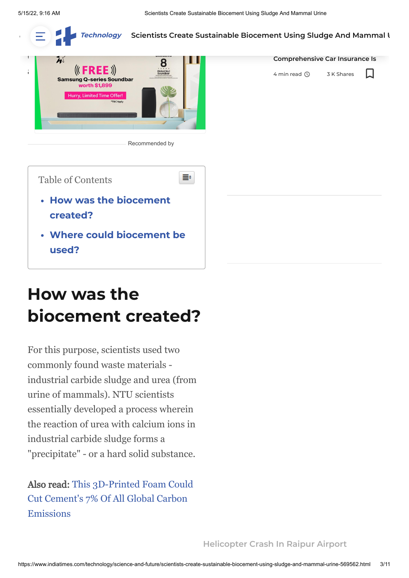$\overline{\phantom{a}}$ 

**E Extendingly Scientis[ts Create Susta](https://www.indiatimes.com/explainers)in[ab](https://www.indiatimes.com/auto)[le Bioce](https://www.indiatimes.com/culture/who-we-are/starting-2022-with-a-new-car-3-crucial-reasons-why-comprehensive-car-insurance-is-a-must-566382.html)[m](https://www.indiatimes.com/auto)e[nt Using Sludge And](https://www.indiatimes.com/entertainment) [Mamma](https://www.indiatimes.com/login)l L** 



[Recommended by](https://www.colombiaonline.com/)



# <span id="page-2-2"></span>**How was the biocement created?**

<span id="page-2-1"></span><span id="page-2-0"></span>For this purpose, scientists used two commonly found waste materials industrial carbide sludge and urea (from urine of mammals). NTU scientists essentially developed a process wherein the reaction of urea with calcium ions in industrial carbide sludge forms a "precipitate" - or a hard solid substance.

### [Also read: This 3D-Printed Foam Could](https://www.indiatimes.com/technology/news/3d-printed-foam-cement-substitute-559371.html) Cut Cement's 7% Of All Global Carbon Emissions

**Starting 2022 With A New Car?**

**[Comprehensive Car Insurance Is](https://www.indiatimes.com/culture/who-we-are/starting-2022-with-a-new-car-3-crucial-reasons-why-comprehensive-car-insurance-is-a-must-566382.html)**

Π

4 min read  $\oslash$  3 K Shares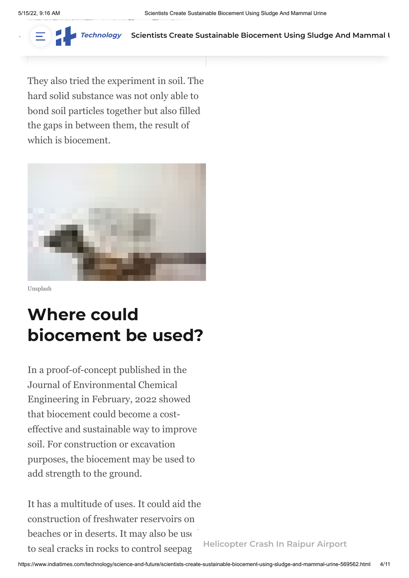

Tec[hnology](https://www.indiatimes.com/technology) Scientists Cr[eate Susta](https://www.indiatimes.com/explainers)inable Biocement Using Sludge And [Mamma](https://www.indiatimes.com/login)l I

They also tried the experiment in soil. The hard solid substance was not only able to bond soil particles together but also filled the gaps in between them, the result of which is biocement.



Unsplash

## <span id="page-3-0"></span>**Where could biocement be used?**

In a proof-of-concept published in the Journal of Environmental Chemical Engineering in February, 2022 showed that biocement could become a costeffective and sustainable way to improve soil. For construction or excavation purposes, the biocement may be used to add strength to the ground.

It has a multitude of uses. It could aid the construction of freshwater reservoirs on beaches or in deserts. It may also be use to seal cracks in rocks to control seepage.